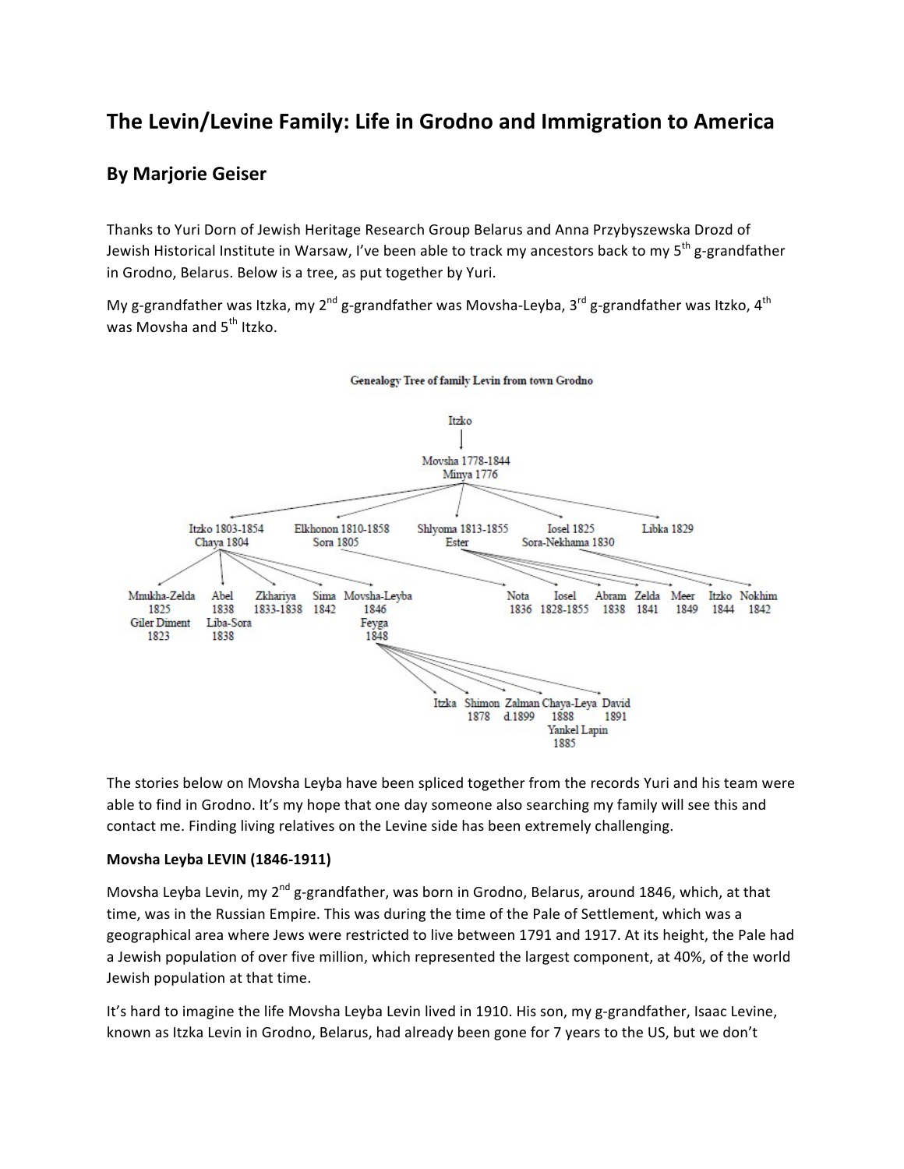# The Levin/Levine Family: Life in Grodno and Immigration to America

### **By Marjorie Geiser**

Thanks to Yuri Dorn of Jewish Heritage Research Group Belarus and Anna Przybyszewska Drozd of Jewish Historical Institute in Warsaw, I've been able to track my ancestors back to my 5<sup>th</sup> g-grandfather in Grodno, Belarus. Below is a tree, as put together by Yuri.

My g-grandfather was Itzka, my 2<sup>nd</sup> g-grandfather was Movsha-Leyba, 3<sup>rd</sup> g-grandfather was Itzko, 4<sup>th</sup> was Movsha and 5<sup>th</sup> Itzko.



The stories below on Movsha Leyba have been spliced together from the records Yuri and his team were able to find in Grodno. It's my hope that one day someone also searching my family will see this and contact me. Finding living relatives on the Levine side has been extremely challenging.

#### **Movsha Leyba LEVIN (1846-1911)**

Movsha Leyba Levin, my 2<sup>nd</sup> g-grandfather, was born in Grodno, Belarus, around 1846, which, at that time, was in the Russian Empire. This was during the time of the Pale of Settlement, which was a geographical area where Jews were restricted to live between 1791 and 1917. At its height, the Pale had a Jewish population of over five million, which represented the largest component, at 40%, of the world Jewish population at that time.

It's hard to imagine the life Movsha Leyba Levin lived in 1910. His son, my g-grandfather, Isaac Levine, known as Itzka Levin in Grodno, Belarus, had already been gone for 7 years to the US, but we don't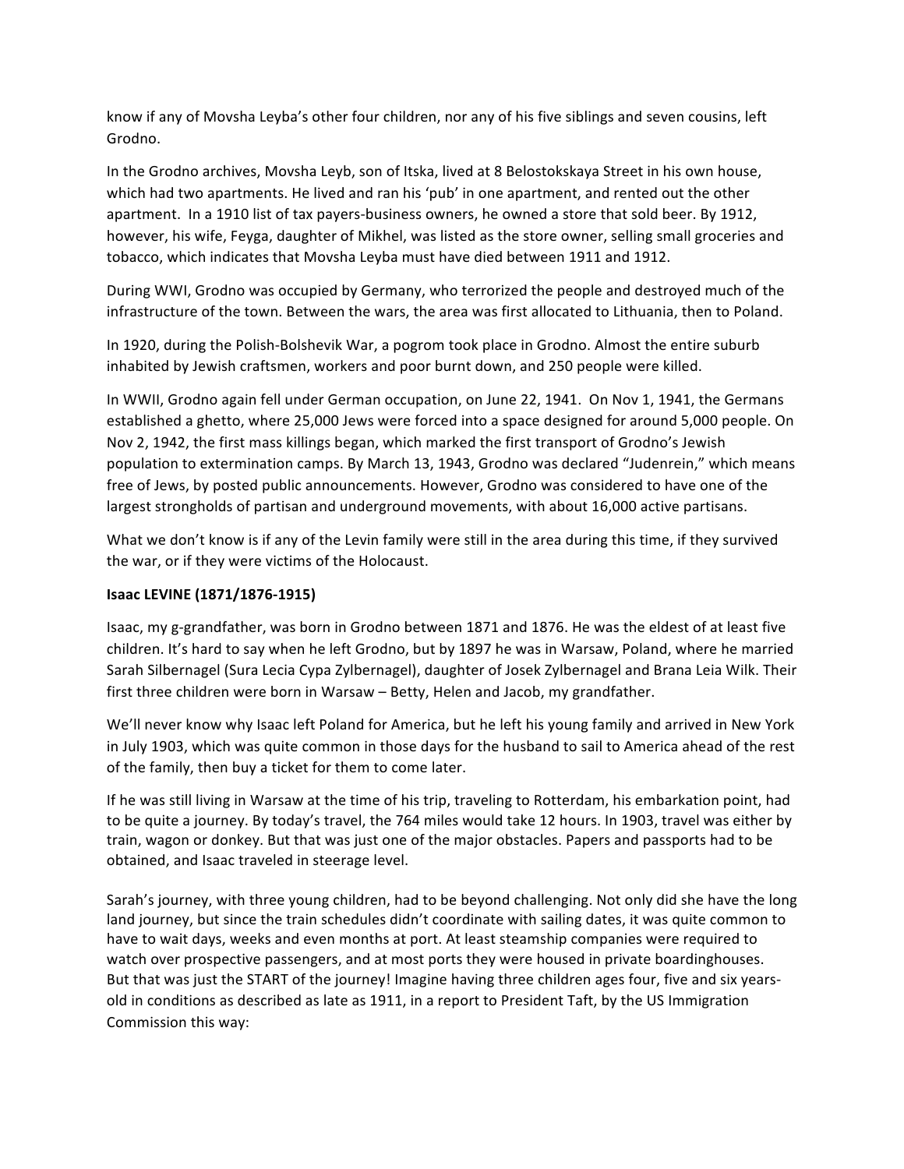know if any of Movsha Leyba's other four children, nor any of his five siblings and seven cousins, left Grodno. 

In the Grodno archives, Movsha Leyb, son of Itska, lived at 8 Belostokskaya Street in his own house, which had two apartments. He lived and ran his 'pub' in one apartment, and rented out the other apartment. In a 1910 list of tax payers-business owners, he owned a store that sold beer. By 1912, however, his wife, Feyga, daughter of Mikhel, was listed as the store owner, selling small groceries and tobacco, which indicates that Movsha Leyba must have died between 1911 and 1912.

During WWI, Grodno was occupied by Germany, who terrorized the people and destroyed much of the infrastructure of the town. Between the wars, the area was first allocated to Lithuania, then to Poland.

In 1920, during the Polish-Bolshevik War, a pogrom took place in Grodno. Almost the entire suburb inhabited by Jewish craftsmen, workers and poor burnt down, and 250 people were killed.

In WWII, Grodno again fell under German occupation, on June 22, 1941. On Nov 1, 1941, the Germans established a ghetto, where 25,000 Jews were forced into a space designed for around 5,000 people. On Nov 2, 1942, the first mass killings began, which marked the first transport of Grodno's Jewish population to extermination camps. By March 13, 1943, Grodno was declared "Judenrein," which means free of Jews, by posted public announcements. However, Grodno was considered to have one of the largest strongholds of partisan and underground movements, with about 16,000 active partisans.

What we don't know is if any of the Levin family were still in the area during this time, if they survived the war, or if they were victims of the Holocaust.

#### **Isaac LEVINE (1871/1876-1915)**

Isaac, my g-grandfather, was born in Grodno between 1871 and 1876. He was the eldest of at least five children. It's hard to say when he left Grodno, but by 1897 he was in Warsaw, Poland, where he married Sarah Silbernagel (Sura Lecia Cypa Zylbernagel), daughter of Josek Zylbernagel and Brana Leia Wilk. Their first three children were born in Warsaw – Betty, Helen and Jacob, my grandfather.

We'll never know why Isaac left Poland for America, but he left his young family and arrived in New York in July 1903, which was quite common in those days for the husband to sail to America ahead of the rest of the family, then buy a ticket for them to come later.

If he was still living in Warsaw at the time of his trip, traveling to Rotterdam, his embarkation point, had to be quite a journey. By today's travel, the 764 miles would take 12 hours. In 1903, travel was either by train, wagon or donkey. But that was just one of the major obstacles. Papers and passports had to be obtained, and Isaac traveled in steerage level.

Sarah's journey, with three young children, had to be beyond challenging. Not only did she have the long land journey, but since the train schedules didn't coordinate with sailing dates, it was quite common to have to wait days, weeks and even months at port. At least steamship companies were required to watch over prospective passengers, and at most ports they were housed in private boardinghouses. But that was just the START of the journey! Imagine having three children ages four, five and six yearsold in conditions as described as late as 1911, in a report to President Taft, by the US Immigration Commission this way: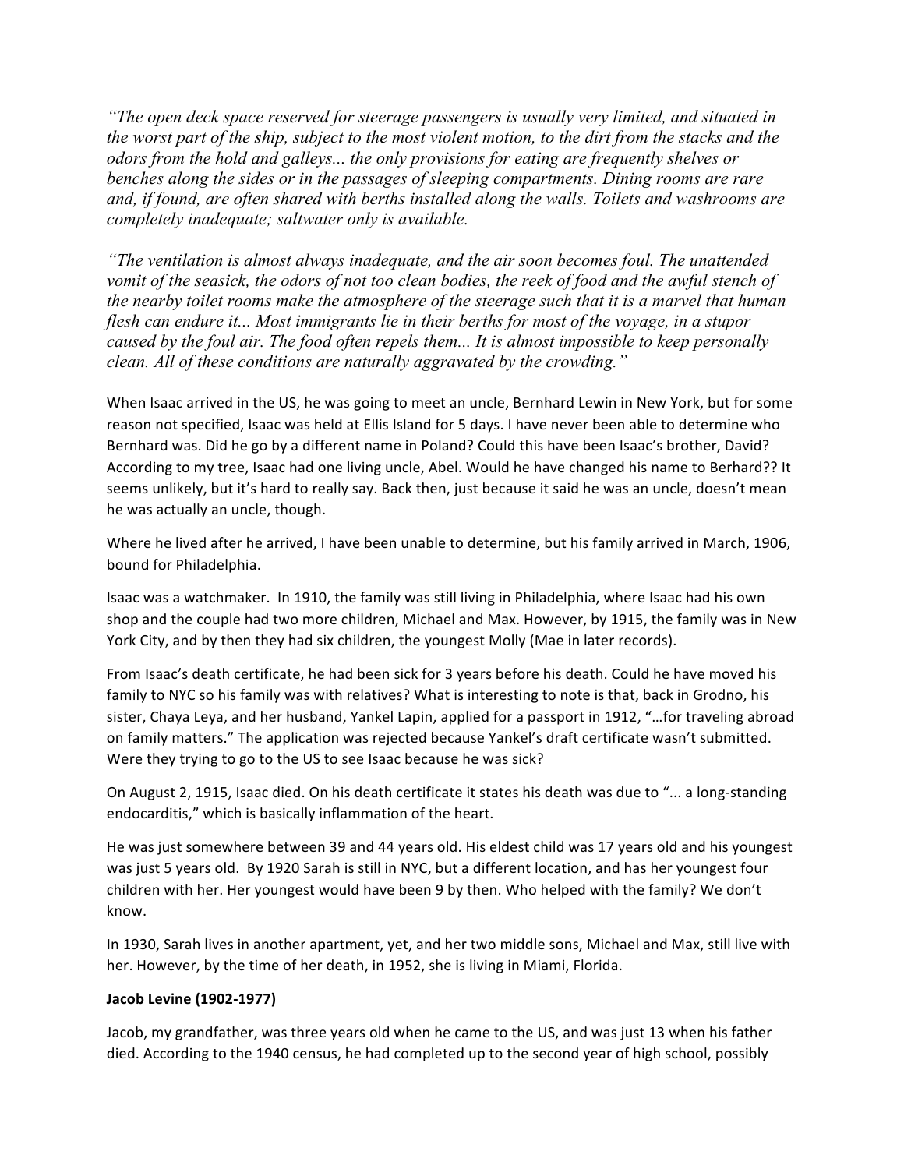*"The open deck space reserved for steerage passengers is usually very limited, and situated in the worst part of the ship, subject to the most violent motion, to the dirt from the stacks and the odors from the hold and galleys... the only provisions for eating are frequently shelves or benches along the sides or in the passages of sleeping compartments. Dining rooms are rare and, if found, are often shared with berths installed along the walls. Toilets and washrooms are completely inadequate; saltwater only is available.*

*"The ventilation is almost always inadequate, and the air soon becomes foul. The unattended vomit of the seasick, the odors of not too clean bodies, the reek of food and the awful stench of the nearby toilet rooms make the atmosphere of the steerage such that it is a marvel that human flesh can endure it... Most immigrants lie in their berths for most of the voyage, in a stupor caused by the foul air. The food often repels them... It is almost impossible to keep personally clean. All of these conditions are naturally aggravated by the crowding."*

When Isaac arrived in the US, he was going to meet an uncle, Bernhard Lewin in New York, but for some reason not specified, Isaac was held at Ellis Island for 5 days. I have never been able to determine who Bernhard was. Did he go by a different name in Poland? Could this have been Isaac's brother, David? According to my tree, Isaac had one living uncle, Abel. Would he have changed his name to Berhard?? It seems unlikely, but it's hard to really say. Back then, just because it said he was an uncle, doesn't mean he was actually an uncle, though.

Where he lived after he arrived, I have been unable to determine, but his family arrived in March, 1906, bound for Philadelphia.

Isaac was a watchmaker. In 1910, the family was still living in Philadelphia, where Isaac had his own shop and the couple had two more children, Michael and Max. However, by 1915, the family was in New York City, and by then they had six children, the youngest Molly (Mae in later records).

From Isaac's death certificate, he had been sick for 3 years before his death. Could he have moved his family to NYC so his family was with relatives? What is interesting to note is that, back in Grodno, his sister, Chaya Leya, and her husband, Yankel Lapin, applied for a passport in 1912, "...for traveling abroad on family matters." The application was rejected because Yankel's draft certificate wasn't submitted. Were they trying to go to the US to see Isaac because he was sick?

On August 2, 1915, Isaac died. On his death certificate it states his death was due to "... a long-standing endocarditis," which is basically inflammation of the heart.

He was just somewhere between 39 and 44 years old. His eldest child was 17 years old and his youngest was just 5 years old. By 1920 Sarah is still in NYC, but a different location, and has her youngest four children with her. Her youngest would have been 9 by then. Who helped with the family? We don't know.

In 1930, Sarah lives in another apartment, yet, and her two middle sons, Michael and Max, still live with her. However, by the time of her death, in 1952, she is living in Miami, Florida.

#### **Jacob Levine (1902-1977)**

Jacob, my grandfather, was three years old when he came to the US, and was just 13 when his father died. According to the 1940 census, he had completed up to the second year of high school, possibly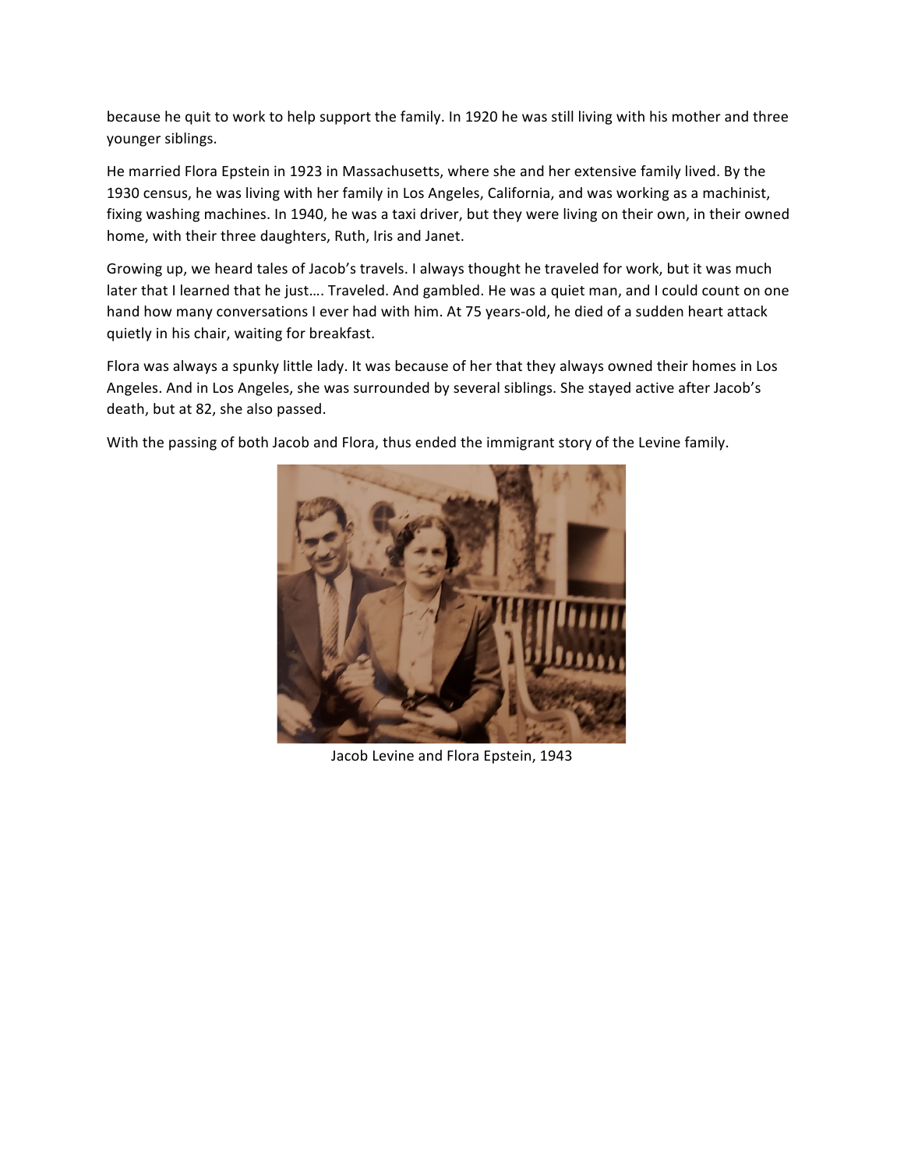because he quit to work to help support the family. In 1920 he was still living with his mother and three younger siblings.

He married Flora Epstein in 1923 in Massachusetts, where she and her extensive family lived. By the 1930 census, he was living with her family in Los Angeles, California, and was working as a machinist, fixing washing machines. In 1940, he was a taxi driver, but they were living on their own, in their owned home, with their three daughters, Ruth, Iris and Janet.

Growing up, we heard tales of Jacob's travels. I always thought he traveled for work, but it was much later that I learned that he just.... Traveled. And gambled. He was a quiet man, and I could count on one hand how many conversations I ever had with him. At 75 years-old, he died of a sudden heart attack quietly in his chair, waiting for breakfast.

Flora was always a spunky little lady. It was because of her that they always owned their homes in Los Angeles. And in Los Angeles, she was surrounded by several siblings. She stayed active after Jacob's death, but at 82, she also passed.

With the passing of both Jacob and Flora, thus ended the immigrant story of the Levine family.



Jacob Levine and Flora Epstein, 1943